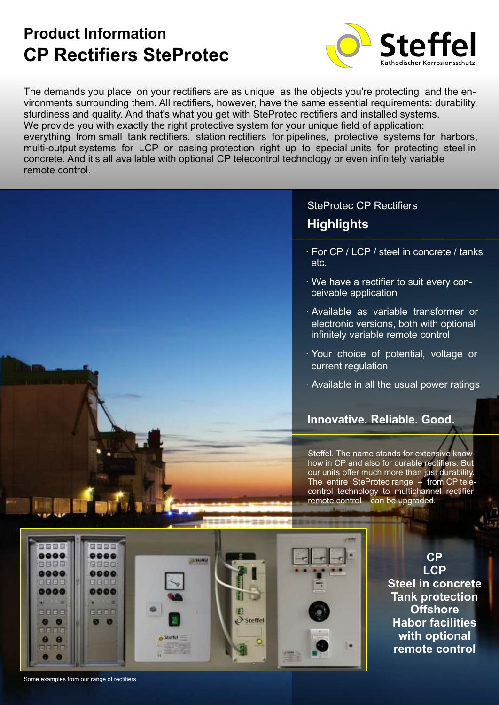# **CP Rectifiers SteProtec Product Information**



The demands you place on your rectifiers are as unique as the objects you're protecting and the environments surrounding them. All rectifiers, however, have the same essential requirements: durability, sturdiness and quality. And that's what you get with SteProtec rectifiers and installed systems. We provide you with exactly the right protective system for your unique field of application: everything from small tank rectifiers, station rectifiers for pipelines, protective systems for harbors, multi-output systems for LCP or casing protection right up to special units for protecting steel in concrete. And it's all available with optional CP telecontrol technology or even infinitely variable remote control.